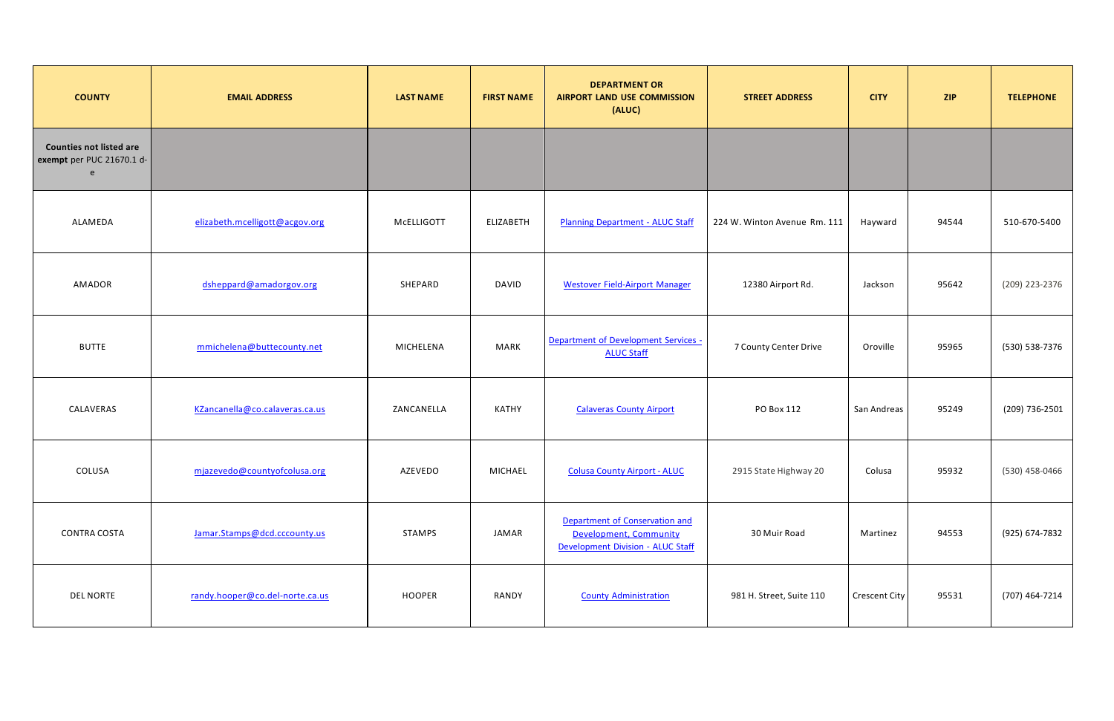| <b>COUNTY</b>                                                    | <b>EMAIL ADDRESS</b>            | <b>LAST NAME</b> | <b>FIRST NAME</b> | <b>DEPARTMENT OR</b><br><b>AIRPORT LAND USE COMMISSION</b><br>(ALUC)                          | <b>STREET ADDRESS</b>        | <b>CITY</b>   | <b>ZIP</b> | <b>TELEPHONE</b> |
|------------------------------------------------------------------|---------------------------------|------------------|-------------------|-----------------------------------------------------------------------------------------------|------------------------------|---------------|------------|------------------|
| <b>Counties not listed are</b><br>exempt per PUC 21670.1 d-<br>e |                                 |                  |                   |                                                                                               |                              |               |            |                  |
| ALAMEDA                                                          | elizabeth.mcelligott@acgov.org  | McELLIGOTT       | ELIZABETH         | <b>Planning Department - ALUC Staff</b>                                                       | 224 W. Winton Avenue Rm. 111 | Hayward       | 94544      | 510-670-5400     |
| AMADOR                                                           | dsheppard@amadorgov.org         | SHEPARD          | <b>DAVID</b>      | <b>Westover Field-Airport Manager</b>                                                         | 12380 Airport Rd.            | Jackson       | 95642      | (209) 223-2376   |
| <b>BUTTE</b>                                                     | mmichelena@buttecounty.net      | MICHELENA        | <b>MARK</b>       | Department of Development Services -<br><b>ALUC Staff</b>                                     | 7 County Center Drive        | Oroville      | 95965      | (530) 538-7376   |
| CALAVERAS                                                        | KZancanella@co.calaveras.ca.us  | ZANCANELLA       | KATHY             | <b>Calaveras County Airport</b>                                                               | PO Box 112                   | San Andreas   | 95249      | (209) 736-2501   |
| COLUSA                                                           | mjazevedo@countyofcolusa.org    | AZEVEDO          | MICHAEL           | <b>Colusa County Airport - ALUC</b>                                                           | 2915 State Highway 20        | Colusa        | 95932      | (530) 458-0466   |
| <b>CONTRA COSTA</b>                                              | Jamar.Stamps@dcd.cccounty.us    | <b>STAMPS</b>    | JAMAR             | Department of Conservation and<br>Development, Community<br>Development Division - ALUC Staff | 30 Muir Road                 | Martinez      | 94553      | (925) 674-7832   |
| <b>DEL NORTE</b>                                                 | randy.hooper@co.del-norte.ca.us | <b>HOOPER</b>    | RANDY             | <b>County Administration</b>                                                                  | 981 H. Street, Suite 110     | Crescent City | 95531      | (707) 464-7214   |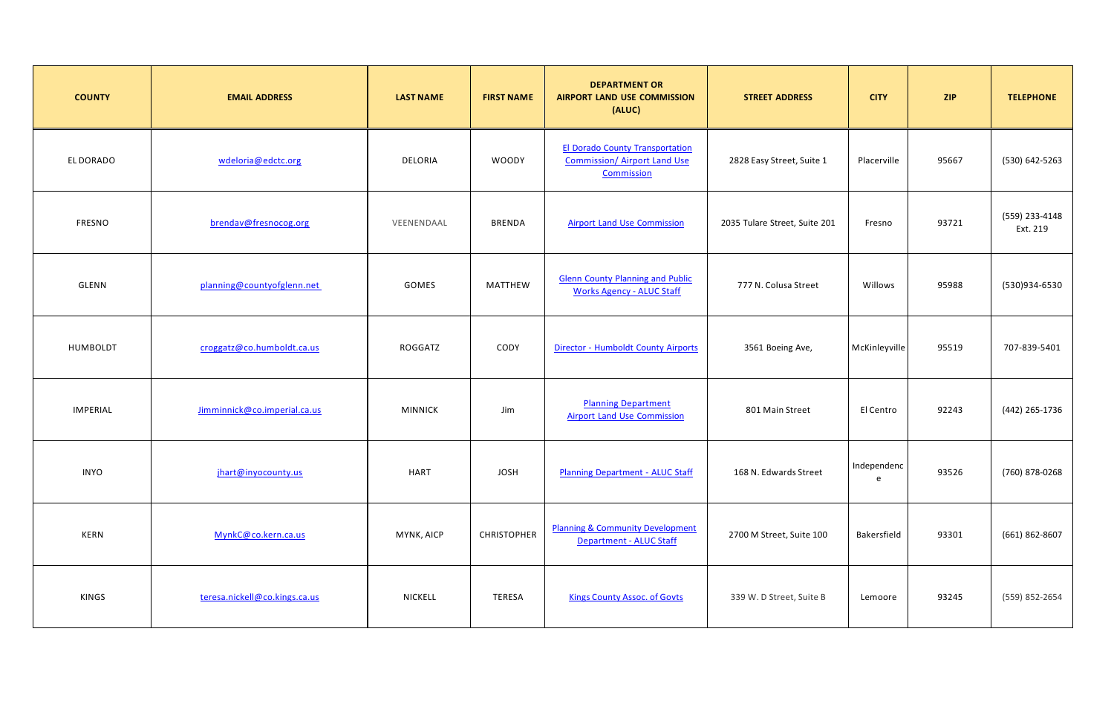| <b>COUNTY</b>   | <b>EMAIL ADDRESS</b>          | <b>LAST NAME</b> | <b>FIRST NAME</b>  | <b>DEPARTMENT OR</b><br><b>AIRPORT LAND USE COMMISSION</b><br>(ALUC)                        | <b>STREET ADDRESS</b>         | <b>CITY</b>      | <b>ZIP</b> | <b>TELEPHONE</b>           |
|-----------------|-------------------------------|------------------|--------------------|---------------------------------------------------------------------------------------------|-------------------------------|------------------|------------|----------------------------|
| EL DORADO       | wdeloria@edctc.org            | DELORIA          | <b>WOODY</b>       | <b>El Dorado County Transportation</b><br><b>Commission/ Airport Land Use</b><br>Commission | 2828 Easy Street, Suite 1     | Placerville      | 95667      | (530) 642-5263             |
| FRESNO          | brendav@fresnocog.org         | VEENENDAAL       | <b>BRENDA</b>      | <b>Airport Land Use Commission</b>                                                          | 2035 Tulare Street, Suite 201 | Fresno           | 93721      | (559) 233-4148<br>Ext. 219 |
| GLENN           | planning@countyofglenn.net    | GOMES            | MATTHEW            | <b>Glenn County Planning and Public</b><br><b>Works Agency - ALUC Staff</b>                 | 777 N. Colusa Street          | Willows          | 95988      | (530)934-6530              |
| HUMBOLDT        | croggatz@co.humboldt.ca.us    | ROGGATZ          | CODY               | <b>Director - Humboldt County Airports</b>                                                  | 3561 Boeing Ave,              | McKinleyville    | 95519      | 707-839-5401               |
| <b>IMPERIAL</b> | Jimminnick@co.imperial.ca.us  | <b>MINNICK</b>   | Jim                | <b>Planning Department</b><br><b>Airport Land Use Commission</b>                            | 801 Main Street               | El Centro        | 92243      | (442) 265-1736             |
| <b>INYO</b>     | jhart@inyocounty.us           | <b>HART</b>      | <b>JOSH</b>        | <b>Planning Department - ALUC Staff</b>                                                     | 168 N. Edwards Street         | Independenc<br>e | 93526      | (760) 878-0268             |
| KERN            | MynkC@co.kern.ca.us           | MYNK, AICP       | <b>CHRISTOPHER</b> | <b>Planning &amp; Community Development</b><br><b>Department - ALUC Staff</b>               | 2700 M Street, Suite 100      | Bakersfield      | 93301      | (661) 862-8607             |
| KINGS           | teresa.nickell@co.kings.ca.us | NICKELL          | TERESA             | <b>Kings County Assoc. of Govts</b>                                                         | 339 W. D Street, Suite B      | Lemoore          | 93245      | (559) 852-2654             |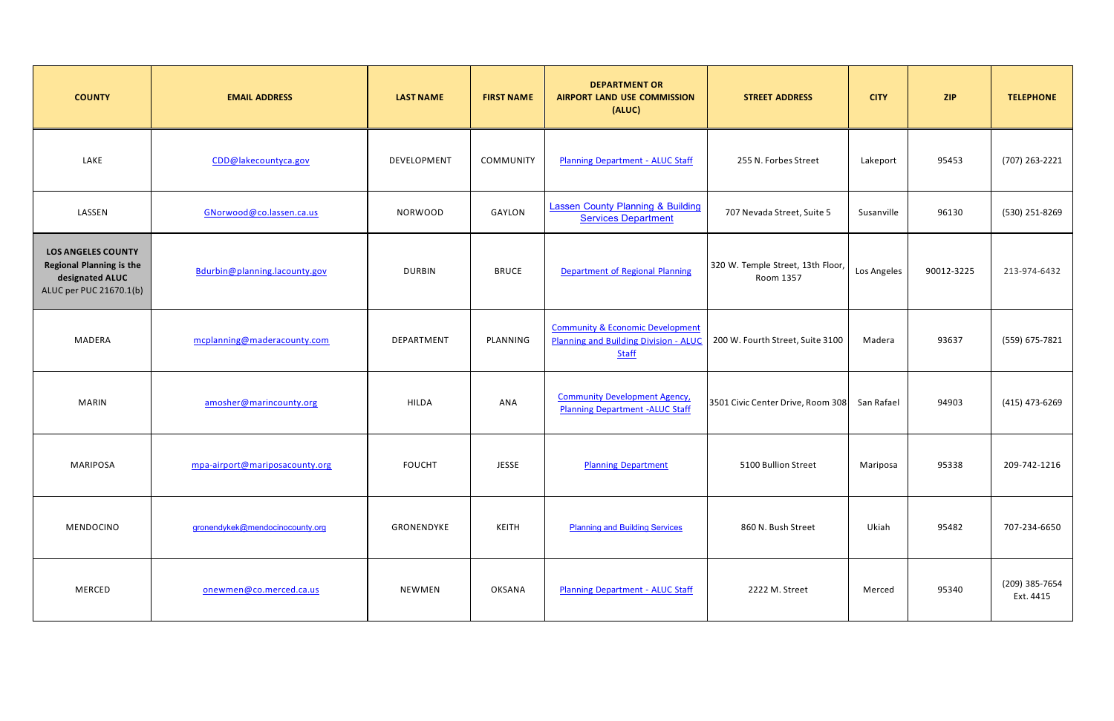| <b>COUNTY</b>                                                                                              | <b>EMAIL ADDRESS</b>            | <b>LAST NAME</b> | <b>FIRST NAME</b> | <b>DEPARTMENT OR</b><br><b>AIRPORT LAND USE COMMISSION</b><br>(ALUC)                                        | <b>STREET ADDRESS</b>                          | <b>CITY</b> | <b>ZIP</b> | <b>TELEPHONE</b>            |
|------------------------------------------------------------------------------------------------------------|---------------------------------|------------------|-------------------|-------------------------------------------------------------------------------------------------------------|------------------------------------------------|-------------|------------|-----------------------------|
| LAKE                                                                                                       | CDD@lakecountyca.gov            | DEVELOPMENT      | COMMUNITY         | <b>Planning Department - ALUC Staff</b>                                                                     | 255 N. Forbes Street                           | Lakeport    | 95453      | (707) 263-2221              |
| LASSEN                                                                                                     | GNorwood@co.lassen.ca.us        | <b>NORWOOD</b>   | GAYLON            | <b>Lassen County Planning &amp; Building</b><br><b>Services Department</b>                                  | 707 Nevada Street, Suite 5                     | Susanville  | 96130      | (530) 251-8269              |
| <b>LOS ANGELES COUNTY</b><br><b>Regional Planning is the</b><br>designated ALUC<br>ALUC per PUC 21670.1(b) | Bdurbin@planning.lacounty.gov   | <b>DURBIN</b>    | <b>BRUCE</b>      | Department of Regional Planning                                                                             | 320 W. Temple Street, 13th Floor,<br>Room 1357 | Los Angeles | 90012-3225 | 213-974-6432                |
| MADERA                                                                                                     | mcplanning@maderacounty.com     | DEPARTMENT       | PLANNING          | <b>Community &amp; Economic Development</b><br><b>Planning and Building Division - ALUC</b><br><b>Staff</b> | 200 W. Fourth Street, Suite 3100               | Madera      | 93637      | (559) 675-7821              |
| <b>MARIN</b>                                                                                               | amosher@marincounty.org         | <b>HILDA</b>     | ANA               | <b>Community Development Agency,</b><br><b>Planning Department - ALUC Staff</b>                             | 3501 Civic Center Drive, Room 308              | San Rafael  | 94903      | (415) 473-6269              |
| <b>MARIPOSA</b>                                                                                            | mpa-airport@mariposacounty.org  | <b>FOUCHT</b>    | <b>JESSE</b>      | <b>Planning Department</b>                                                                                  | 5100 Bullion Street                            | Mariposa    | 95338      | 209-742-1216                |
| MENDOCINO                                                                                                  | gronendykek@mendocinocounty.org | GRONENDYKE       | <b>KEITH</b>      | <b>Planning and Building Services</b>                                                                       | 860 N. Bush Street                             | Ukiah       | 95482      | 707-234-6650                |
| MERCED                                                                                                     | onewmen@co.merced.ca.us         | NEWMEN           | OKSANA            | <b>Planning Department - ALUC Staff</b>                                                                     | 2222 M. Street                                 | Merced      | 95340      | (209) 385-7654<br>Ext. 4415 |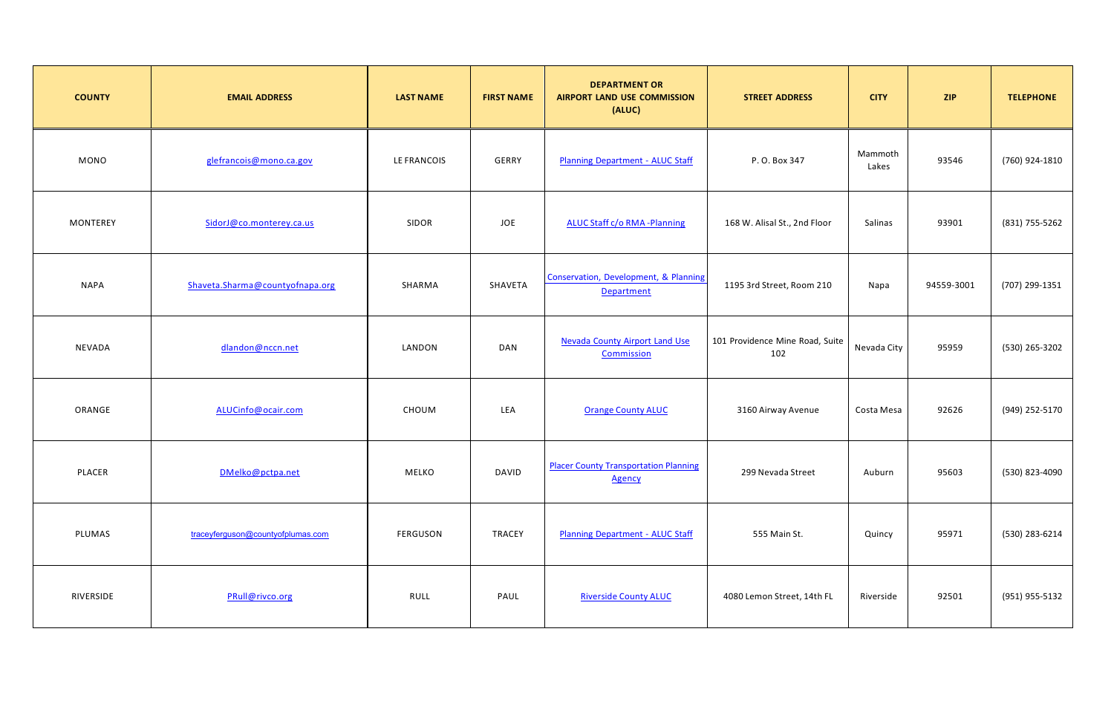| <b>COUNTY</b> | <b>EMAIL ADDRESS</b>              | <b>LAST NAME</b> | <b>FIRST NAME</b> | <b>DEPARTMENT OR</b><br><b>AIRPORT LAND USE COMMISSION</b><br>(ALUC) | <b>STREET ADDRESS</b>                  | <b>CITY</b>      | <b>ZIP</b> | <b>TELEPHONE</b> |
|---------------|-----------------------------------|------------------|-------------------|----------------------------------------------------------------------|----------------------------------------|------------------|------------|------------------|
| <b>MONO</b>   | glefrancois@mono.ca.gov           | LE FRANCOIS      | GERRY             | <b>Planning Department - ALUC Staff</b>                              | P.O. Box 347                           | Mammoth<br>Lakes | 93546      | (760) 924-1810   |
| MONTEREY      | SidorJ@co.monterey.ca.us          | SIDOR            | JOE               | <b>ALUC Staff c/o RMA -Planning</b>                                  | 168 W. Alisal St., 2nd Floor           | Salinas          | 93901      | (831) 755-5262   |
| <b>NAPA</b>   | Shaveta.Sharma@countyofnapa.org   | SHARMA           | SHAVETA           | Conservation, Development, & Planning<br>Department                  | 1195 3rd Street, Room 210              | Napa             | 94559-3001 | (707) 299-1351   |
| NEVADA        | dlandon@nccn.net                  | LANDON           | <b>DAN</b>        | <b>Nevada County Airport Land Use</b><br>Commission                  | 101 Providence Mine Road, Suite<br>102 | Nevada City      | 95959      | (530) 265-3202   |
| ORANGE        | ALUCinfo@ocair.com                | CHOUM            | LEA               | <b>Orange County ALUC</b>                                            | 3160 Airway Avenue                     | Costa Mesa       | 92626      | (949) 252-5170   |
| PLACER        | DMelko@pctpa.net                  | <b>MELKO</b>     | <b>DAVID</b>      | <b>Placer County Transportation Planning</b><br><b>Agency</b>        | 299 Nevada Street                      | Auburn           | 95603      | (530) 823-4090   |
| PLUMAS        | traceyferguson@countyofplumas.com | FERGUSON         | TRACEY            | <b>Planning Department - ALUC Staff</b>                              | 555 Main St.                           | Quincy           | 95971      | (530) 283-6214   |
| RIVERSIDE     | PRull@rivco.org                   | RULL             | PAUL              | <b>Riverside County ALUC</b>                                         | 4080 Lemon Street, 14th FL             | Riverside        | 92501      | (951) 955-5132   |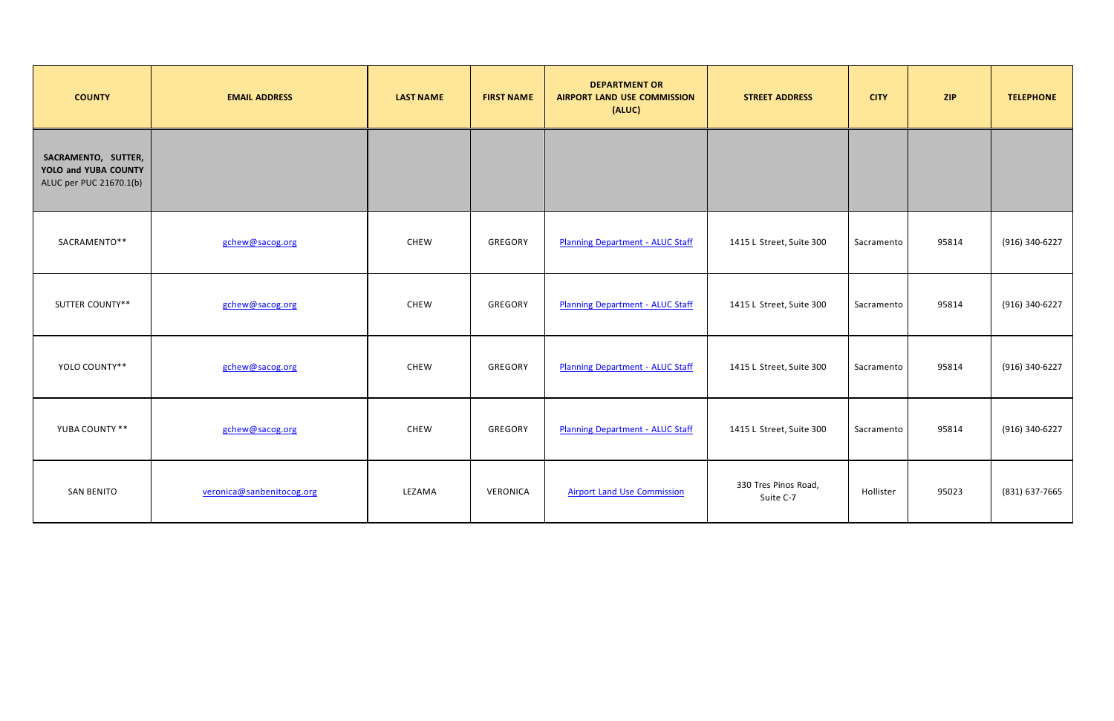| <b>COUNTY</b>                                                          | <b>EMAIL ADDRESS</b>      | <b>LAST NAME</b> | <b>FIRST NAME</b> | <b>DEPARTMENT OR</b><br><b>AIRPORT LAND USE COMMISSION</b><br>(ALUC) | <b>STREET ADDRESS</b>             | <b>CITY</b> | <b>ZIP</b> | <b>TELEPHONE</b> |
|------------------------------------------------------------------------|---------------------------|------------------|-------------------|----------------------------------------------------------------------|-----------------------------------|-------------|------------|------------------|
| SACRAMENTO, SUTTER,<br>YOLO and YUBA COUNTY<br>ALUC per PUC 21670.1(b) |                           |                  |                   |                                                                      |                                   |             |            |                  |
| SACRAMENTO**                                                           | gchew@sacog.org           | <b>CHEW</b>      | GREGORY           | <b>Planning Department - ALUC Staff</b>                              | 1415 L Street, Suite 300          | Sacramento  | 95814      | (916) 340-6227   |
| <b>SUTTER COUNTY**</b>                                                 | gchew@sacog.org           | <b>CHEW</b>      | GREGORY           | <b>Planning Department - ALUC Staff</b>                              | 1415 L Street, Suite 300          | Sacramento  | 95814      | (916) 340-6227   |
| YOLO COUNTY**                                                          | gchew@sacog.org           | CHEW             | GREGORY           | <b>Planning Department - ALUC Staff</b>                              | 1415 L Street, Suite 300          | Sacramento  | 95814      | (916) 340-6227   |
| YUBA COUNTY **                                                         | gchew@sacog.org           | CHEW             | GREGORY           | <b>Planning Department - ALUC Staff</b>                              | 1415 L Street, Suite 300          | Sacramento  | 95814      | (916) 340-6227   |
| <b>SAN BENITO</b>                                                      | veronica@sanbenitocog.org | LEZAMA           | VERONICA          | <b>Airport Land Use Commission</b>                                   | 330 Tres Pinos Road,<br>Suite C-7 | Hollister   | 95023      | (831) 637-7665   |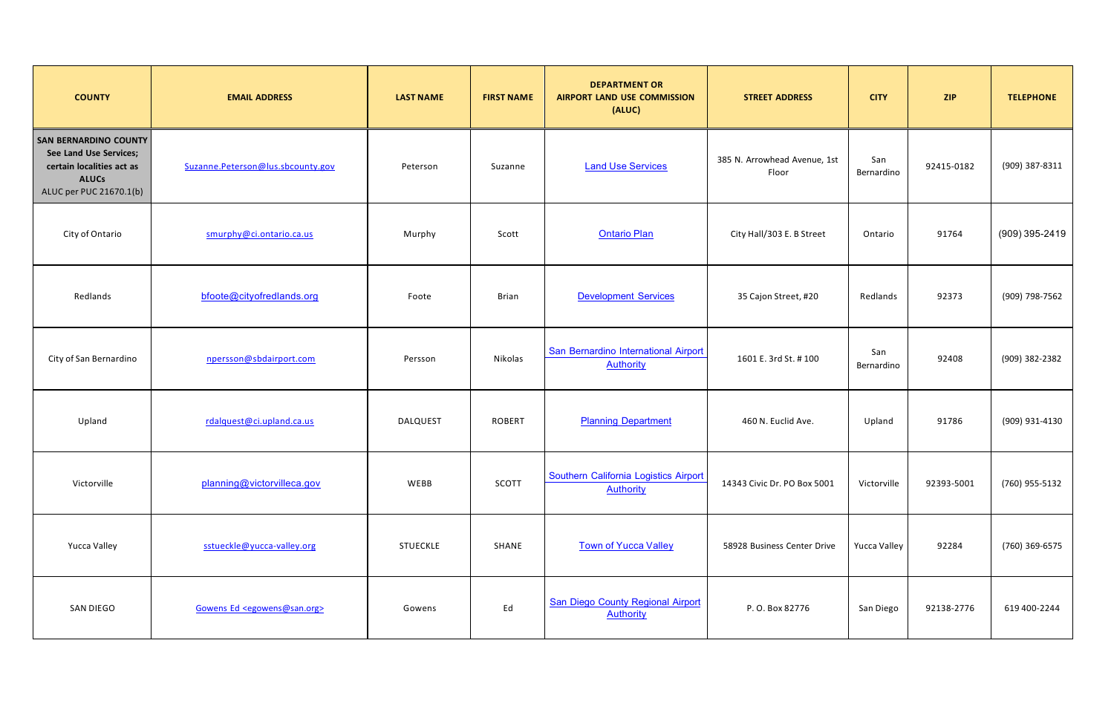| <b>COUNTY</b>                                                                                                                  | <b>EMAIL ADDRESS</b>                          | <b>LAST NAME</b> | <b>FIRST NAME</b> | <b>DEPARTMENT OR</b><br><b>AIRPORT LAND USE COMMISSION</b><br>(ALUC) | <b>STREET ADDRESS</b>                 | <b>CITY</b>       | <b>ZIP</b> | <b>TELEPHONE</b> |
|--------------------------------------------------------------------------------------------------------------------------------|-----------------------------------------------|------------------|-------------------|----------------------------------------------------------------------|---------------------------------------|-------------------|------------|------------------|
| <b>SAN BERNARDINO COUNTY</b><br>See Land Use Services;<br>certain localities act as<br><b>ALUCs</b><br>ALUC per PUC 21670.1(b) | Suzanne.Peterson@lus.sbcounty.gov             | Peterson         | Suzanne           | <b>Land Use Services</b>                                             | 385 N. Arrowhead Avenue, 1st<br>Floor | San<br>Bernardino | 92415-0182 | (909) 387-8311   |
| City of Ontario                                                                                                                | smurphy@ci.ontario.ca.us                      | Murphy           | Scott             | <b>Ontario Plan</b>                                                  | City Hall/303 E. B Street             | Ontario           | 91764      | (909) 395-2419   |
| Redlands                                                                                                                       | bfoote@cityofredlands.org                     | Foote            | <b>Brian</b>      | <b>Development Services</b>                                          | 35 Cajon Street, #20                  | Redlands          | 92373      | (909) 798-7562   |
| City of San Bernardino                                                                                                         | npersson@sbdairport.com                       | Persson          | Nikolas           | San Bernardino International Airport<br><b>Authority</b>             | 1601 E. 3rd St. #100                  | San<br>Bernardino | 92408      | (909) 382-2382   |
| Upland                                                                                                                         | rdalquest@ci.upland.ca.us                     | <b>DALQUEST</b>  | <b>ROBERT</b>     | <b>Planning Department</b>                                           | 460 N. Euclid Ave.                    | Upland            | 91786      | (909) 931-4130   |
| Victorville                                                                                                                    | planning@victorvilleca.gov                    | WEBB             | SCOTT             | Southern California Logistics Airport<br><b>Authority</b>            | 14343 Civic Dr. PO Box 5001           | Victorville       | 92393-5001 | (760) 955-5132   |
| Yucca Valley                                                                                                                   | sstueckle@yucca-valley.org                    | <b>STUECKLE</b>  | SHANE             | <b>Town of Yucca Valley</b>                                          | 58928 Business Center Drive           | Yucca Valley      | 92284      | (760) 369-6575   |
| SAN DIEGO                                                                                                                      | Gowens Ed <egowens@san.org></egowens@san.org> | Gowens           | Ed                | <b>San Diego County Regional Airport</b><br><b>Authority</b>         | P.O. Box 82776                        | San Diego         | 92138-2776 | 619 400-2244     |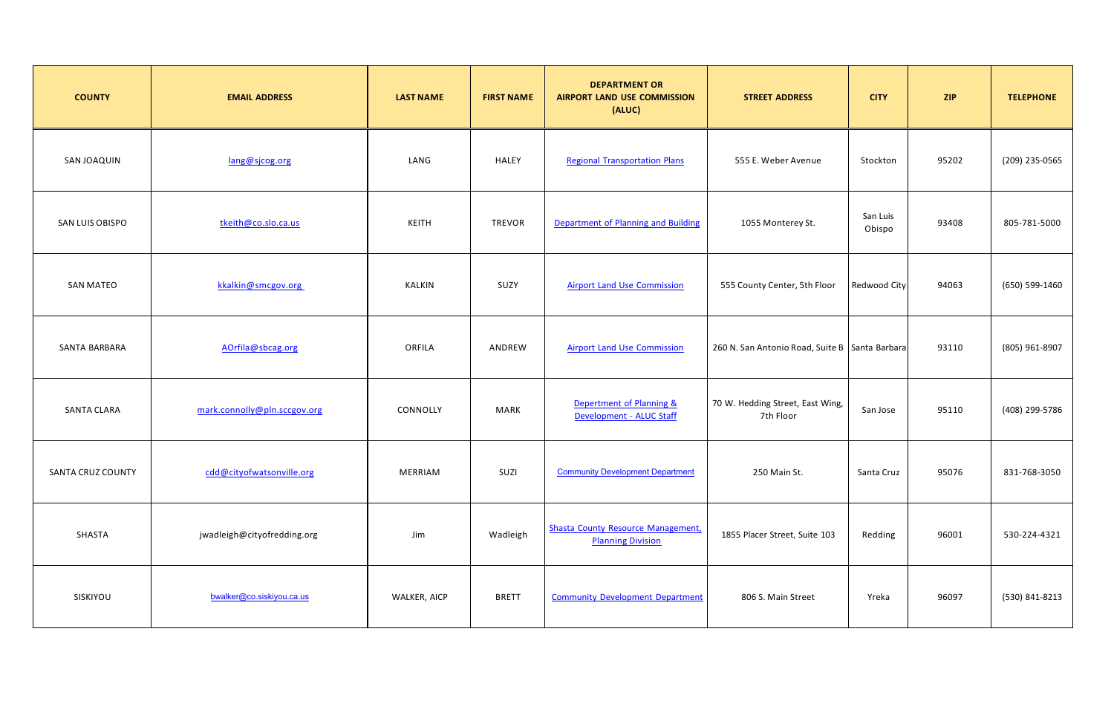| <b>COUNTY</b>      | <b>EMAIL ADDRESS</b>         | <b>LAST NAME</b> | <b>FIRST NAME</b> | <b>DEPARTMENT OR</b><br><b>AIRPORT LAND USE COMMISSION</b><br>(ALUC)  | <b>STREET ADDRESS</b>                            | <b>CITY</b>        | <b>ZIP</b> | <b>TELEPHONE</b> |
|--------------------|------------------------------|------------------|-------------------|-----------------------------------------------------------------------|--------------------------------------------------|--------------------|------------|------------------|
| <b>SAN JOAQUIN</b> | lang@sjcog.org               | LANG             | <b>HALEY</b>      | <b>Regional Transportation Plans</b>                                  | 555 E. Weber Avenue                              | Stockton           | 95202      | (209) 235-0565   |
| SAN LUIS OBISPO    | tkeith@co.slo.ca.us          | KEITH            | TREVOR            | Department of Planning and Building                                   | 1055 Monterey St.                                | San Luis<br>Obispo | 93408      | 805-781-5000     |
| <b>SAN MATEO</b>   | kkalkin@smcgov.org           | KALKIN           | SUZY              | <b>Airport Land Use Commission</b>                                    | 555 County Center, 5th Floor                     | Redwood City       | 94063      | (650) 599-1460   |
| SANTA BARBARA      | AOrfila@sbcag.org            | ORFILA           | ANDREW            | <b>Airport Land Use Commission</b>                                    | 260 N. San Antonio Road, Suite B   Santa Barbara |                    | 93110      | (805) 961-8907   |
| <b>SANTA CLARA</b> | mark.connolly@pln.sccgov.org | CONNOLLY         | MARK              | Depertment of Planning &<br>Development - ALUC Staff                  | 70 W. Hedding Street, East Wing,<br>7th Floor    | San Jose           | 95110      | (408) 299-5786   |
| SANTA CRUZ COUNTY  | cdd@cityofwatsonville.org    | MERRIAM          | SUZI              | <b>Community Development Department</b>                               | 250 Main St.                                     | Santa Cruz         | 95076      | 831-768-3050     |
| SHASTA             | jwadleigh@cityofredding.org  | Jim              | Wadleigh          | <b>Shasta County Resource Management,</b><br><b>Planning Division</b> | 1855 Placer Street, Suite 103                    | Redding            | 96001      | 530-224-4321     |
| SISKIYOU           | bwalker@co.siskiyou.ca.us    | WALKER, AICP     | <b>BRETT</b>      | <b>Community Development Department</b>                               | 806 S. Main Street                               | Yreka              | 96097      | (530) 841-8213   |